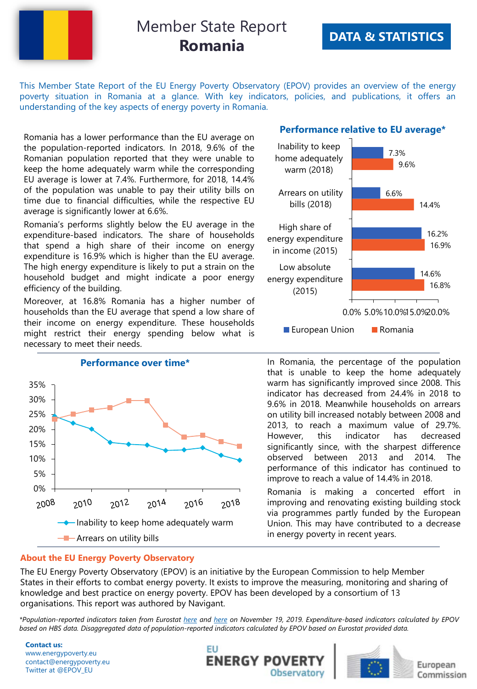

This Member State Report of the EU Energy Poverty Observatory (EPOV) provides an overview of the energy poverty situation in Romania at a glance. With key indicators, policies, and publications, it offers an understanding of the key aspects of energy poverty in Romania.

Romania has a lower performance than the EU average on the population-reported indicators. In 2018, 9.6% of the Romanian population reported that they were unable to keep the home adequately warm while the corresponding EU average is lower at 7.4%. Furthermore, for 2018, 14.4% of the population was unable to pay their utility bills on time due to financial difficulties, while the respective EU average is significantly lower at 6.6%.

Romania's performs slightly below the EU average in the expenditure-based indicators. The share of households that spend a high share of their income on energy expenditure is 16.9% which is higher than the EU average. The high energy expenditure is likely to put a strain on the household budget and might indicate a poor energy efficiency of the building.

Moreover, at 16.8% Romania has a higher number of households than the EU average that spend a low share of their income on energy expenditure. These households might restrict their energy spending below what is necessary to meet their needs.



#### **Performance relative to EU average\***



In Romania, the percentage of the population that is unable to keep the home adequately warm has significantly improved since 2008. This indicator has decreased from 24.4% in 2018 to 9.6% in 2018. Meanwhile households on arrears on utility bill increased notably between 2008 and 2013, to reach a maximum value of 29.7%. However, this indicator has decreased significantly since, with the sharpest difference observed between 2013 and 2014. The performance of this indicator has continued to improve to reach a value of 14.4% in 2018.

Romania is making a concerted effort in improving and renovating existing building stock via programmes partly funded by the European Union. This may have contributed to a decrease in energy poverty in recent years.

#### **About the EU Energy Poverty Observatory**

The EU Energy Poverty Observatory (EPOV) is an initiative by the European Commission to help Member States in their efforts to combat energy poverty. It exists to improve the measuring, monitoring and sharing of knowledge and best practice on energy poverty. EPOV has been developed by a consortium of 13 organisations. This report was authored by Navigant.

\*Population-reported indicators taken from Eurostat [here](http://appsso.eurostat.ec.europa.eu/nui/show.do?dataset=ilc_mdes07&lang=en) and here on November 19, 2019. Expenditure-based indicators calculated by EPOV based on HBS data. Disaggregated data of population-reported indicators calculated by EPOV based on Eurostat provided data.

**Contact us:** www.energypoverty.eu contact@energypoverty.eu Twitter at @EPOV\_EU





European Commission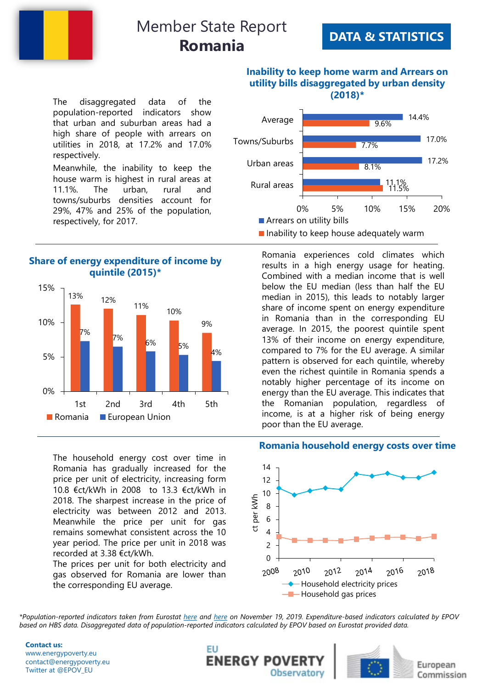

### **DATA & STATISTICS**

The disaggregated data of the population-reported indicators show that urban and suburban areas had a high share of people with arrears on utilities in 2018, at 17.2% and 17.0% respectively.

Meanwhile, the inability to keep the house warm is highest in rural areas at 11.1%. The urban, rural and towns/suburbs densities account for 29%, 47% and 25% of the population, respectively, for 2017.

#### **Share of energy expenditure of income by quintile (2015)\***



The household energy cost over time in Romania has gradually increased for the price per unit of electricity, increasing form 10.8 €ct/kWh in 2008 to 13.3 €ct/kWh in 2018. The sharpest increase in the price of electricity was between 2012 and 2013. Meanwhile the price per unit for gas remains somewhat consistent across the 10 year period. The price per unit in 2018 was recorded at 3.38 €ct/kWh.

The prices per unit for both electricity and gas observed for Romania are lower than the corresponding EU average.





Romania experiences cold climates which results in a high energy usage for heating. Combined with a median income that is well below the EU median (less than half the EU median in 2015), this leads to notably larger share of income spent on energy expenditure in Romania than in the corresponding EU average. In 2015, the poorest quintile spent 13% of their income on energy expenditure, compared to 7% for the EU average. A similar pattern is observed for each quintile, whereby even the richest quintile in Romania spends a notably higher percentage of its income on energy than the EU average. This indicates that the Romanian population, regardless of income, is at a higher risk of being energy poor than the EU average.

#### **Romania household energy costs over time**



\*Population-reported indicators taken from Eurostat [here](http://appsso.eurostat.ec.europa.eu/nui/show.do?dataset=ilc_mdes07&lang=en) and here on November 19, 2019. Expenditure-based indicators calculated by EPOV based on HBS data. Disaggregated data of population-reported indicators calculated by EPOV based on Eurostat provided data.

**Contact us:** www.energypoverty.eu contact@energypoverty.eu Twitter at @EPOV\_EU





European Commission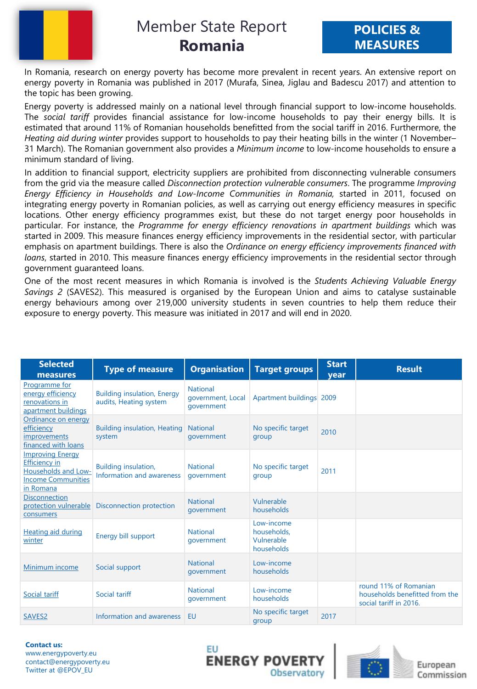

In Romania, research on energy poverty has become more prevalent in recent years. An extensive report on energy poverty in Romania was published in 2017 (Murafa, Sinea, Jiglau and Badescu 2017) and attention to the topic has been growing.

Energy poverty is addressed mainly on a national level through financial support to low-income households. The *social tariff* provides financial assistance for low-income households to pay their energy bills. It is estimated that around 11% of Romanian households benefitted from the social tariff in 2016. Furthermore, the *Heating aid during winter* provides support to households to pay their heating bills in the winter (1 November– 31 March). The Romanian government also provides a *Minimum income* to low-income households to ensure a minimum standard of living.

In addition to financial support, electricity suppliers are prohibited from disconnecting vulnerable consumers from the grid via the measure called *Disconnection protection vulnerable consumers*. The programme *Improving Energy Efficiency in Households and Low-Income Communities in Romania,* started in 2011, focused on integrating energy poverty in Romanian policies, as well as carrying out energy efficiency measures in specific locations. Other energy efficiency programmes exist, but these do not target energy poor households in particular. For instance, the *Programme for energy efficiency renovations in apartment buildings* which was started in 2009. This measure finances energy efficiency improvements in the residential sector, with particular emphasis on apartment buildings. There is also the *Ordinance on energy efficiency improvements financed with loans*, started in 2010. This measure finances energy efficiency improvements in the residential sector through government guaranteed loans.

One of the most recent measures in which Romania is involved is the *Students Achieving Valuable Energy Savings 2* (SAVES2). This measured is organised by the European Union and aims to catalyse sustainable energy behaviours among over 219,000 university students in seven countries to help them reduce their exposure to energy poverty. This measure was initiated in 2017 and will end in 2020.

| <b>Selected</b><br>measures                                                                                      | <b>Type of measure</b>                                       | <b>Organisation</b>                                | <b>Target groups</b>                                  | <b>Start</b><br>year | <b>Result</b>                                                                     |
|------------------------------------------------------------------------------------------------------------------|--------------------------------------------------------------|----------------------------------------------------|-------------------------------------------------------|----------------------|-----------------------------------------------------------------------------------|
| Programme for<br>energy efficiency<br>renovations in<br>apartment buildings                                      | <b>Building insulation, Energy</b><br>audits, Heating system | <b>National</b><br>government, Local<br>government | Apartment buildings 2009                              |                      |                                                                                   |
| Ordinance on energy<br>efficiency<br><i>improvements</i><br>financed with loans                                  | <b>Building insulation, Heating</b><br>system                | <b>National</b><br>qovernment                      | No specific target<br>group                           | 2010                 |                                                                                   |
| <b>Improving Energy</b><br><b>Efficiency</b> in<br>Households and Low-<br><b>Income Communities</b><br>in Romana | Building insulation,<br>Information and awareness            | <b>National</b><br>qovernment                      | No specific target<br>group                           | 2011                 |                                                                                   |
| <b>Disconnection</b><br>protection vulnerable<br>consumers                                                       | <b>Disconnection protection</b>                              | <b>National</b><br>qovernment                      | Vulnerable<br>households                              |                      |                                                                                   |
| Heating aid during<br>winter                                                                                     | Energy bill support                                          | <b>National</b><br>qovernment                      | Low-income<br>households,<br>Vulnerable<br>households |                      |                                                                                   |
| Minimum income                                                                                                   | Social support                                               | <b>National</b><br>qovernment                      | Low-income<br>households                              |                      |                                                                                   |
| Social tariff                                                                                                    | Social tariff                                                | <b>National</b><br>qovernment                      | Low-income<br>households                              |                      | round 11% of Romanian<br>households benefitted from the<br>social tariff in 2016. |
| SAVES2                                                                                                           | Information and awareness                                    | EU                                                 | No specific target<br>group                           | 2017                 |                                                                                   |

**Contact us:** www.energypoverty.eu contact@energypoverty.eu Twitter at @EPOV\_EU





European Commission